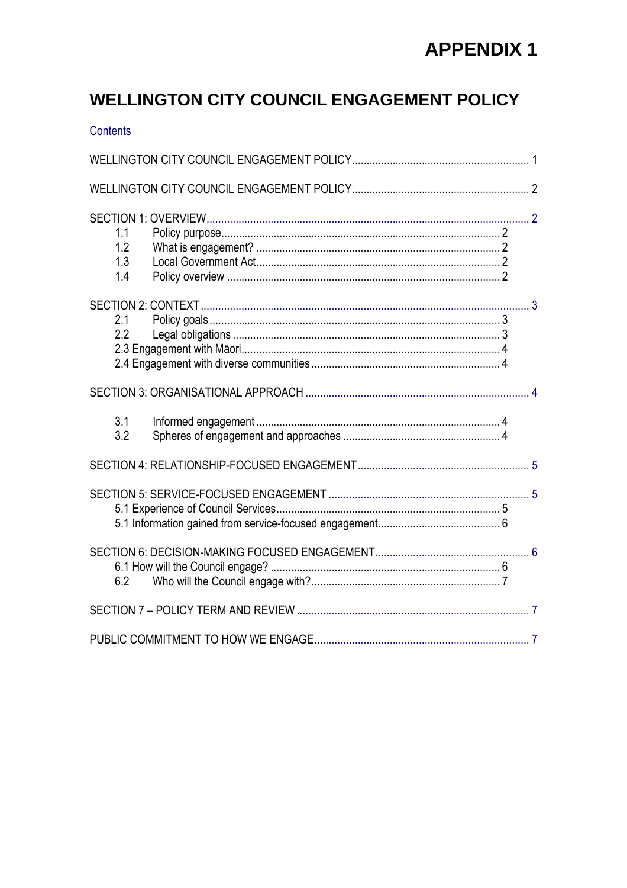### **WELLINGTON CITY COUNCIL ENGAGEMENT POLICY**

| <b>Contents</b>          |  |  |  |  |  |  |
|--------------------------|--|--|--|--|--|--|
|                          |  |  |  |  |  |  |
|                          |  |  |  |  |  |  |
| 1.1<br>1.2<br>1.3<br>1.4 |  |  |  |  |  |  |
| 2.1<br>2.2               |  |  |  |  |  |  |
|                          |  |  |  |  |  |  |
| 3.1<br>3.2               |  |  |  |  |  |  |
|                          |  |  |  |  |  |  |
|                          |  |  |  |  |  |  |
| 6.2                      |  |  |  |  |  |  |
|                          |  |  |  |  |  |  |
|                          |  |  |  |  |  |  |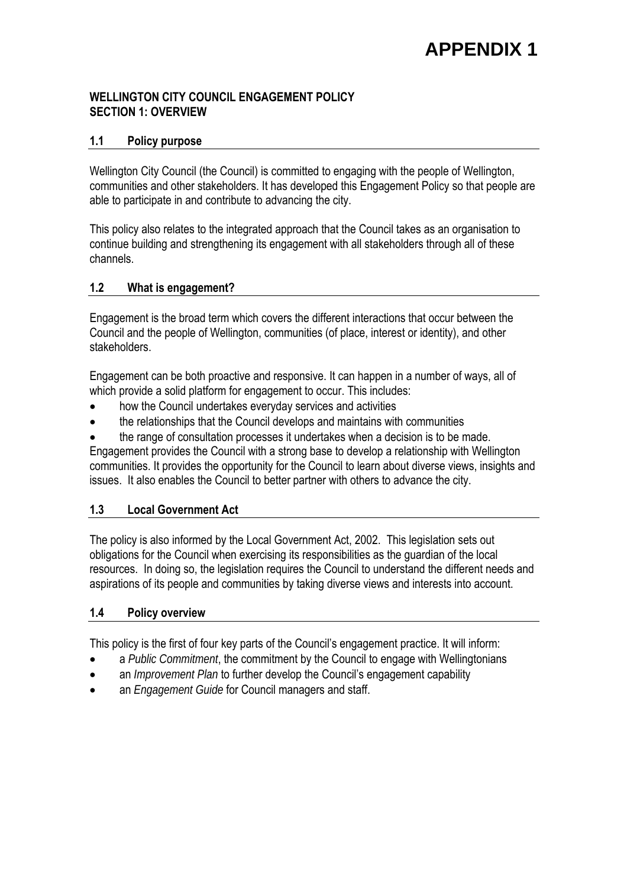#### **WELLINGTON CITY COUNCIL ENGAGEMENT POLICY SECTION 1: OVERVIEW**

#### **1.1 Policy purpose**

Wellington City Council (the Council) is committed to engaging with the people of Wellington, communities and other stakeholders. It has developed this Engagement Policy so that people are able to participate in and contribute to advancing the city.

This policy also relates to the integrated approach that the Council takes as an organisation to continue building and strengthening its engagement with all stakeholders through all of these channels.

#### **1.2 What is engagement?**

Engagement is the broad term which covers the different interactions that occur between the Council and the people of Wellington, communities (of place, interest or identity), and other stakeholders.

Engagement can be both proactive and responsive. It can happen in a number of ways, all of which provide a solid platform for engagement to occur. This includes:

- how the Council undertakes everyday services and activities
- the relationships that the Council develops and maintains with communities
- the range of consultation processes it undertakes when a decision is to be made.

Engagement provides the Council with a strong base to develop a relationship with Wellington communities. It provides the opportunity for the Council to learn about diverse views, insights and issues. It also enables the Council to better partner with others to advance the city.

#### **1.3 Local Government Act**

The policy is also informed by the Local Government Act, 2002. This legislation sets out obligations for the Council when exercising its responsibilities as the guardian of the local resources. In doing so, the legislation requires the Council to understand the different needs and aspirations of its people and communities by taking diverse views and interests into account.

#### **1.4 Policy overview**

This policy is the first of four key parts of the Council's engagement practice. It will inform:

- a *Public Commitment*, the commitment by the Council to engage with Wellingtonians
- an *Improvement Plan* to further develop the Council's engagement capability
- an *Engagement Guide* for Council managers and staff.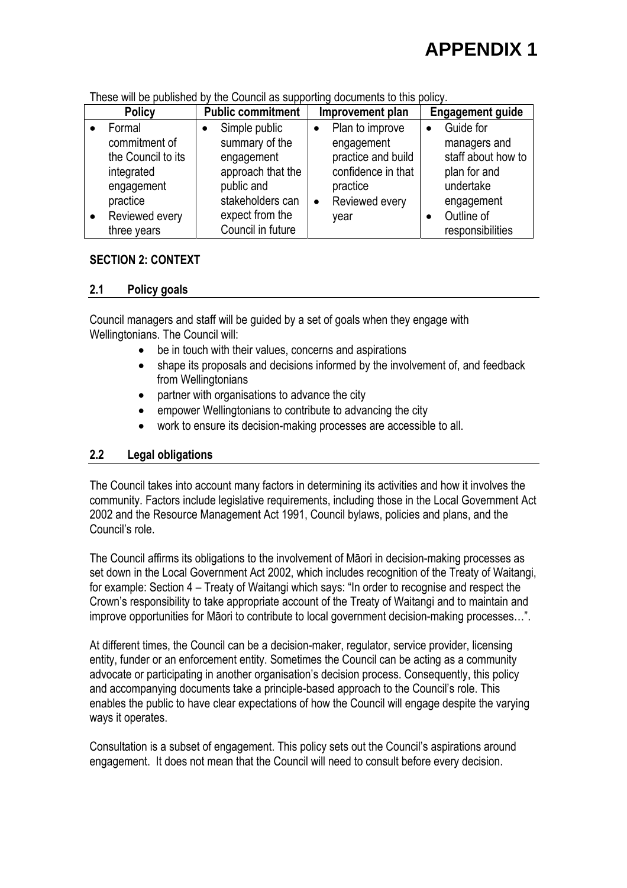| <b>Policy</b>      | <b>Public commitment</b> | Improvement plan            | <b>Engagement guide</b> |
|--------------------|--------------------------|-----------------------------|-------------------------|
| Formal             | Simple public            | Plan to improve             | Guide for<br>$\bullet$  |
| commitment of      | summary of the           | engagement                  | managers and            |
| the Council to its | engagement               | practice and build          | staff about how to      |
| integrated         | approach that the        | confidence in that          | plan for and            |
| engagement         | public and               | practice                    | undertake               |
| practice           | stakeholders can         | Reviewed every<br>$\bullet$ | engagement              |
| Reviewed every     | expect from the          | year                        | Outline of              |
| three years        | Council in future        |                             | responsibilities        |

These will be published by the Council as supporting documents to this policy.

#### **SECTION 2: CONTEXT**

#### **2.1 Policy goals**

Council managers and staff will be guided by a set of goals when they engage with Wellingtonians. The Council will:

- be in touch with their values, concerns and aspirations
- shape its proposals and decisions informed by the involvement of, and feedback from Wellingtonians
- partner with organisations to advance the city
- empower Wellingtonians to contribute to advancing the city
- work to ensure its decision-making processes are accessible to all.

#### **2.2 Legal obligations**

The Council takes into account many factors in determining its activities and how it involves the community. Factors include legislative requirements, including those in the Local Government Act 2002 and the Resource Management Act 1991, Council bylaws, policies and plans, and the Council's role.

The Council affirms its obligations to the involvement of Māori in decision-making processes as set down in the Local Government Act 2002, which includes recognition of the Treaty of Waitangi, for example: Section 4 – Treaty of Waitangi which says: "In order to recognise and respect the Crown's responsibility to take appropriate account of the Treaty of Waitangi and to maintain and improve opportunities for Māori to contribute to local government decision-making processes…".

At different times, the Council can be a decision-maker, regulator, service provider, licensing entity, funder or an enforcement entity. Sometimes the Council can be acting as a community advocate or participating in another organisation's decision process. Consequently, this policy and accompanying documents take a principle-based approach to the Council's role. This enables the public to have clear expectations of how the Council will engage despite the varying ways it operates.

Consultation is a subset of engagement. This policy sets out the Council's aspirations around engagement. It does not mean that the Council will need to consult before every decision.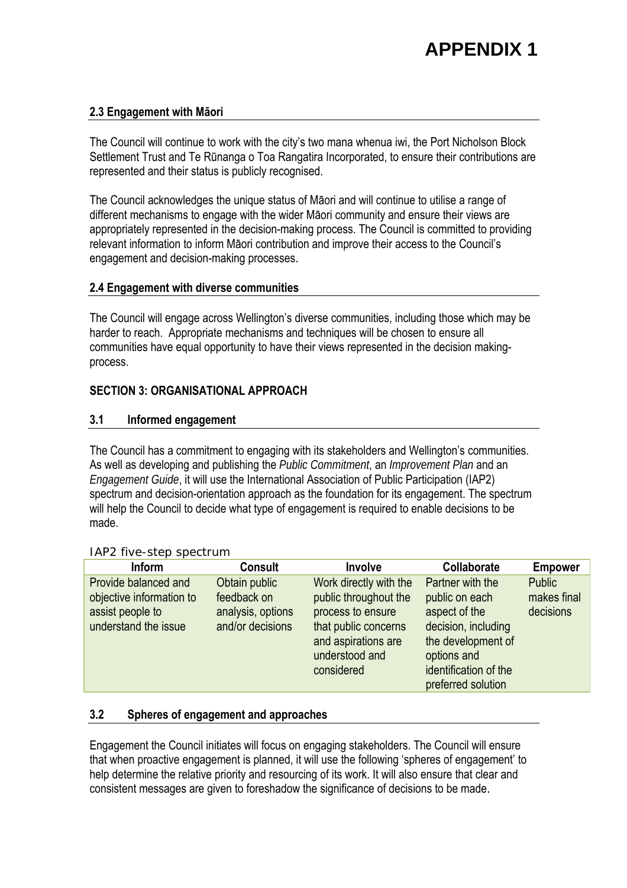#### **2.3 Engagement with Māori**

The Council will continue to work with the city's two mana whenua iwi, the Port Nicholson Block Settlement Trust and Te Rūnanga o Toa Rangatira Incorporated, to ensure their contributions are represented and their status is publicly recognised.

The Council acknowledges the unique status of Māori and will continue to utilise a range of different mechanisms to engage with the wider Māori community and ensure their views are appropriately represented in the decision-making process. The Council is committed to providing relevant information to inform Māori contribution and improve their access to the Council's engagement and decision-making processes.

#### **2.4 Engagement with diverse communities**

The Council will engage across Wellington's diverse communities, including those which may be harder to reach. Appropriate mechanisms and techniques will be chosen to ensure all communities have equal opportunity to have their views represented in the decision makingprocess.

#### **SECTION 3: ORGANISATIONAL APPROACH**

#### **3.1 Informed engagement**

The Council has a commitment to engaging with its stakeholders and Wellington's communities. As well as developing and publishing the *Public Commitment*, an *Improvement Plan* and an *Engagement Guide*, it will use the International Association of Public Participation (IAP2) spectrum and decision-orientation approach as the foundation for its engagement. The spectrum will help the Council to decide what type of engagement is required to enable decisions to be made.

| $\cdots$ $\cdots$ $\cdots$ $\cdots$ $\cdots$ $\cdots$                                        |                                                                       |                                                                                                                                                     |                                                                                                                                                                |                                           |  |
|----------------------------------------------------------------------------------------------|-----------------------------------------------------------------------|-----------------------------------------------------------------------------------------------------------------------------------------------------|----------------------------------------------------------------------------------------------------------------------------------------------------------------|-------------------------------------------|--|
| <b>Inform</b>                                                                                | <b>Consult</b>                                                        | Involve                                                                                                                                             | Collaborate                                                                                                                                                    | <b>Empower</b>                            |  |
| Provide balanced and<br>objective information to<br>assist people to<br>understand the issue | Obtain public<br>feedback on<br>analysis, options<br>and/or decisions | Work directly with the<br>public throughout the<br>process to ensure<br>that public concerns<br>and aspirations are<br>understood and<br>considered | Partner with the<br>public on each<br>aspect of the<br>decision, including<br>the development of<br>options and<br>identification of the<br>preferred solution | <b>Public</b><br>makes final<br>decisions |  |

#### IAP2 five-step spectrum

#### **3.2 Spheres of engagement and approaches**

Engagement the Council initiates will focus on engaging stakeholders. The Council will ensure that when proactive engagement is planned, it will use the following 'spheres of engagement' to help determine the relative priority and resourcing of its work. It will also ensure that clear and consistent messages are given to foreshadow the significance of decisions to be made.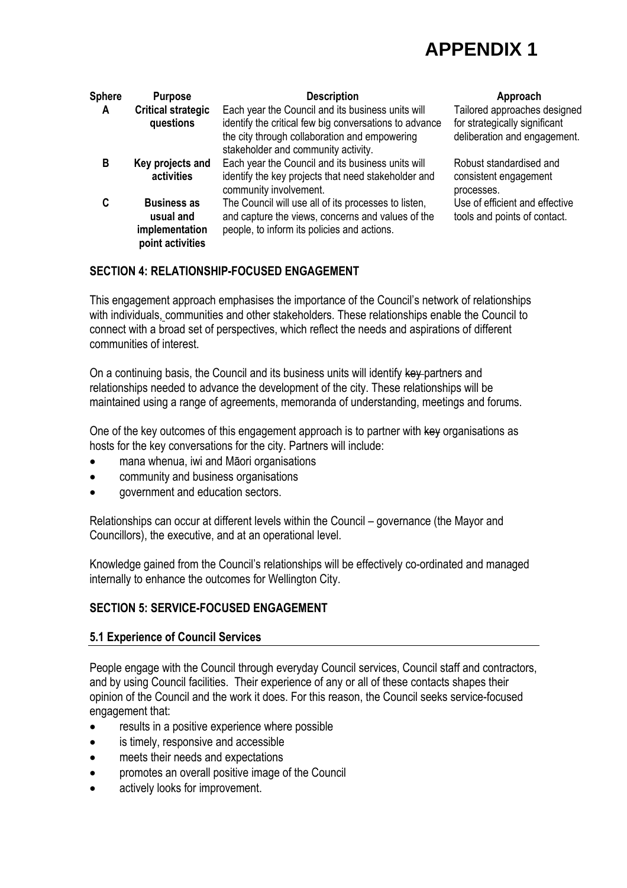| <b>Sphere</b>                               | <b>Purpose</b>                                                        | <b>Description</b>                                                                                                                                                                                  | Approach                                                                                      |  |
|---------------------------------------------|-----------------------------------------------------------------------|-----------------------------------------------------------------------------------------------------------------------------------------------------------------------------------------------------|-----------------------------------------------------------------------------------------------|--|
| <b>Critical strategic</b><br>A<br>questions |                                                                       | Each year the Council and its business units will<br>identify the critical few big conversations to advance<br>the city through collaboration and empowering<br>stakeholder and community activity. | Tailored approaches designed<br>for strategically significant<br>deliberation and engagement. |  |
| в                                           | Key projects and<br>activities                                        | Each year the Council and its business units will<br>identify the key projects that need stakeholder and<br>community involvement.                                                                  | Robust standardised and<br>consistent engagement<br>processes.                                |  |
| C                                           | <b>Business as</b><br>usual and<br>implementation<br>point activities | The Council will use all of its processes to listen,<br>and capture the views, concerns and values of the<br>people, to inform its policies and actions.                                            | Use of efficient and effective<br>tools and points of contact.                                |  |

### **SECTION 4: RELATIONSHIP-FOCUSED ENGAGEMENT**

This engagement approach emphasises the importance of the Council's network of relationships with individuals, communities and other stakeholders. These relationships enable the Council to connect with a broad set of perspectives, which reflect the needs and aspirations of different communities of interest.

On a continuing basis, the Council and its business units will identify key partners and relationships needed to advance the development of the city. These relationships will be maintained using a range of agreements, memoranda of understanding, meetings and forums.

One of the key outcomes of this engagement approach is to partner with key organisations as hosts for the key conversations for the city. Partners will include:

- mana whenua, iwi and Māori organisations
- community and business organisations
- government and education sectors.

Relationships can occur at different levels within the Council – governance (the Mayor and Councillors), the executive, and at an operational level.

Knowledge gained from the Council's relationships will be effectively co-ordinated and managed internally to enhance the outcomes for Wellington City.

#### **SECTION 5: SERVICE-FOCUSED ENGAGEMENT**

#### **5.1 Experience of Council Services**

People engage with the Council through everyday Council services, Council staff and contractors, and by using Council facilities. Their experience of any or all of these contacts shapes their opinion of the Council and the work it does. For this reason, the Council seeks service-focused engagement that:

- results in a positive experience where possible
- is timely, responsive and accessible
- meets their needs and expectations
- promotes an overall positive image of the Council
- actively looks for improvement.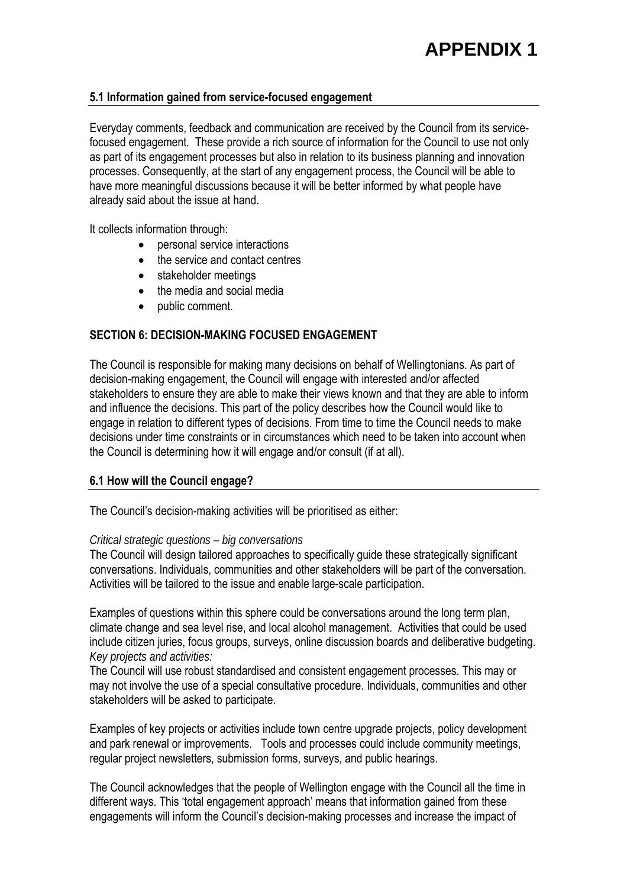#### **5.1 Information gained from service-focused engagement**

Everyday comments, feedback and communication are received by the Council from its servicefocused engagement. These provide a rich source of information for the Council to use not only as part of its engagement processes but also in relation to its business planning and innovation processes. Consequently, at the start of any engagement process, the Council will be able to have more meaningful discussions because it will be better informed by what people have already said about the issue at hand.

It collects information through:

- personal service interactions
- the service and contact centres
- stakeholder meetings
- the media and social media
- public comment.

#### **SECTION 6: DECISION-MAKING FOCUSED ENGAGEMENT**

The Council is responsible for making many decisions on behalf of Wellingtonians. As part of decision-making engagement, the Council will engage with interested and/or affected stakeholders to ensure they are able to make their views known and that they are able to inform and influence the decisions. This part of the policy describes how the Council would like to engage in relation to different types of decisions. From time to time the Council needs to make decisions under time constraints or in circumstances which need to be taken into account when the Council is determining how it will engage and/or consult (if at all).

#### **6.1 How will the Council engage?**

The Council's decision-making activities will be prioritised as either:

#### *Critical strategic questions – big conversations*

The Council will design tailored approaches to specifically guide these strategically significant conversations. Individuals, communities and other stakeholders will be part of the conversation. Activities will be tailored to the issue and enable large-scale participation.

Examples of questions within this sphere could be conversations around the long term plan, climate change and sea level rise, and local alcohol management. Activities that could be used include citizen juries, focus groups, surveys, online discussion boards and deliberative budgeting. *Key projects and activities:* 

The Council will use robust standardised and consistent engagement processes. This may or may not involve the use of a special consultative procedure. Individuals, communities and other stakeholders will be asked to participate.

Examples of key projects or activities include town centre upgrade projects, policy development and park renewal or improvements. Tools and processes could include community meetings, regular project newsletters, submission forms, surveys, and public hearings.

The Council acknowledges that the people of Wellington engage with the Council all the time in different ways. This 'total engagement approach' means that information gained from these engagements will inform the Council's decision-making processes and increase the impact of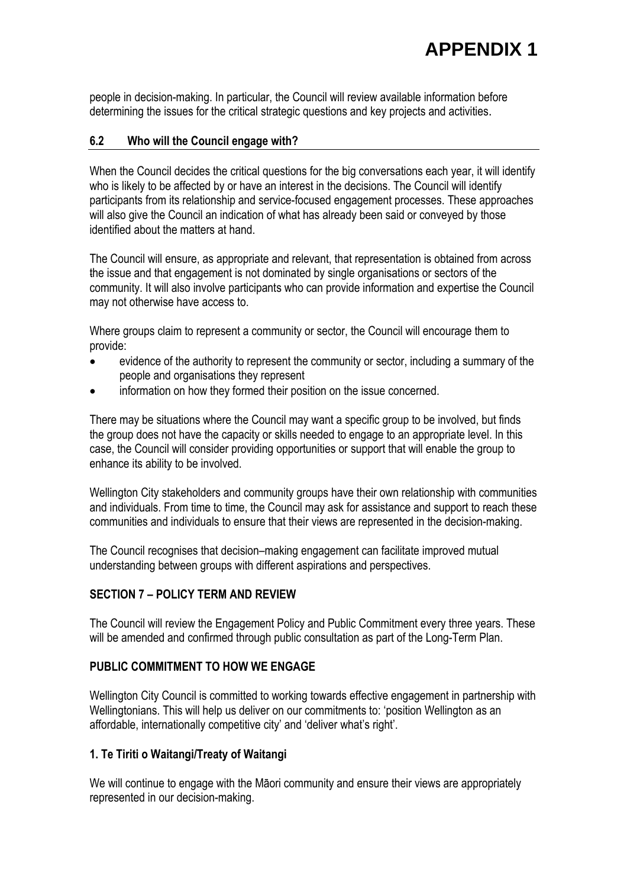people in decision-making. In particular, the Council will review available information before determining the issues for the critical strategic questions and key projects and activities.

#### **6.2 Who will the Council engage with?**

When the Council decides the critical questions for the big conversations each year, it will identify who is likely to be affected by or have an interest in the decisions. The Council will identify participants from its relationship and service-focused engagement processes. These approaches will also give the Council an indication of what has already been said or conveved by those identified about the matters at hand.

The Council will ensure, as appropriate and relevant, that representation is obtained from across the issue and that engagement is not dominated by single organisations or sectors of the community. It will also involve participants who can provide information and expertise the Council may not otherwise have access to.

Where groups claim to represent a community or sector, the Council will encourage them to provide:

- evidence of the authority to represent the community or sector, including a summary of the people and organisations they represent
- information on how they formed their position on the issue concerned.

There may be situations where the Council may want a specific group to be involved, but finds the group does not have the capacity or skills needed to engage to an appropriate level. In this case, the Council will consider providing opportunities or support that will enable the group to enhance its ability to be involved.

Wellington City stakeholders and community groups have their own relationship with communities and individuals. From time to time, the Council may ask for assistance and support to reach these communities and individuals to ensure that their views are represented in the decision-making.

The Council recognises that decision–making engagement can facilitate improved mutual understanding between groups with different aspirations and perspectives.

#### **SECTION 7 – POLICY TERM AND REVIEW**

The Council will review the Engagement Policy and Public Commitment every three years. These will be amended and confirmed through public consultation as part of the Long-Term Plan.

#### **PUBLIC COMMITMENT TO HOW WE ENGAGE**

Wellington City Council is committed to working towards effective engagement in partnership with Wellingtonians. This will help us deliver on our commitments to: 'position Wellington as an affordable, internationally competitive city' and 'deliver what's right'.

#### **1. Te Tiriti o Waitangi/Treaty of Waitangi**

We will continue to engage with the Māori community and ensure their views are appropriately represented in our decision-making.